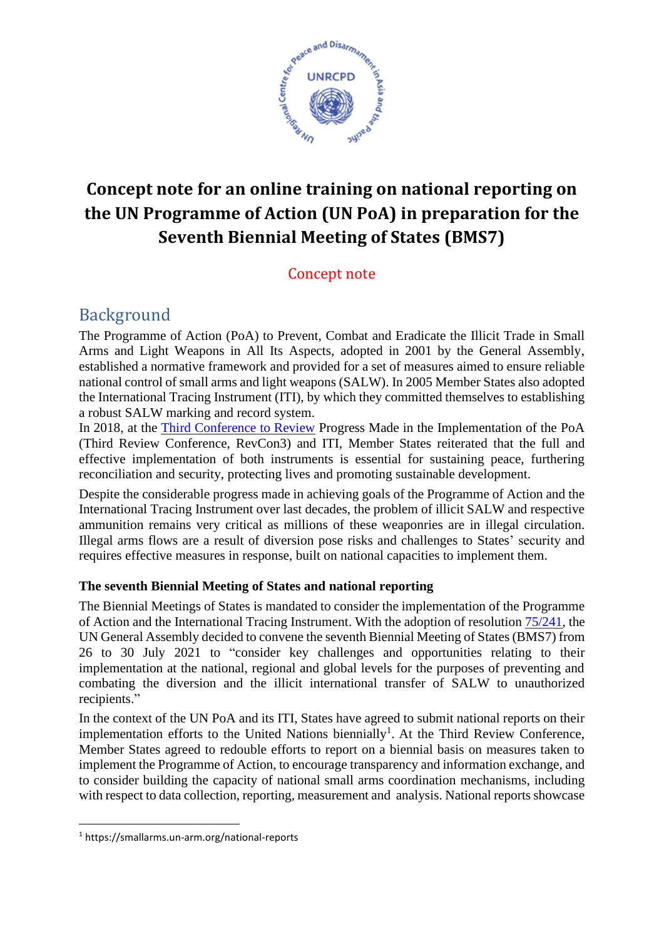

# **Concept note for an online training on national reporting on the UN Programme of Action (UN PoA) in preparation for the Seventh Biennial Meeting of States (BMS7)**

### Concept note

# Background

The Programme of Action (PoA) to Prevent, Combat and Eradicate the Illicit Trade in Small Arms and Light Weapons in All Its Aspects, adopted in 2001 by the General Assembly, established a normative framework and provided for a set of measures aimed to ensure reliable national control of small arms and light weapons (SALW). In 2005 Member States also adopted the International Tracing Instrument (ITI), by which they committed themselves to establishing a robust SALW marking and record system.

In 2018, at the [Third Conference to Review](https://undocs.org/en/A/CONF.192/2018/RC/3) Progress Made in the Implementation of the PoA (Third Review Conference, RevCon3) and ITI, Member States reiterated that the full and effective implementation of both instruments is essential for sustaining peace, furthering reconciliation and security, protecting lives and promoting sustainable development.

Despite the considerable progress made in achieving goals of the Programme of Action and the International Tracing Instrument over last decades, the problem of illicit SALW and respective ammunition remains very critical as millions of these weaponries are in illegal circulation. Illegal arms flows are a result of diversion pose risks and challenges to States' security and requires effective measures in response, built on national capacities to implement them.

#### **The seventh Biennial Meeting of States and national reporting**

The Biennial Meetings of States is mandated to consider the implementation of the Programme of Action and the International Tracing Instrument. With the adoption of resolutio[n 75/241,](https://undocs.org/en/A/RES/75/241) the UN General Assembly decided to convene the seventh Biennial Meeting of States (BMS7) from 26 to 30 July 2021 to "consider key challenges and opportunities relating to their implementation at the national, regional and global levels for the purposes of preventing and combating the diversion and the illicit international transfer of SALW to unauthorized recipients."

In the context of the UN PoA and its ITI, States have agreed to submit national reports on their implementation efforts to the United Nations biennially<sup>1</sup>. At the Third Review Conference, Member States agreed to redouble efforts to report on a biennial basis on measures taken to implement the Programme of Action, to encourage transparency and information exchange, and to consider building the capacity of national small arms coordination mechanisms, including with respect to data collection, reporting, measurement and analysis. National reports showcase

<sup>1</sup> https://smallarms.un-arm.org/national-reports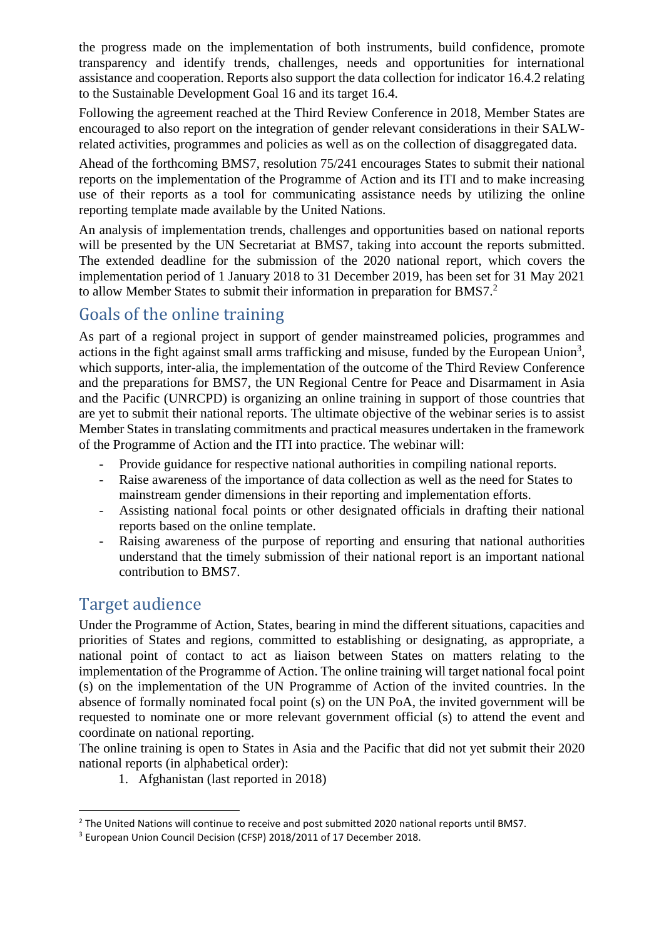the progress made on the implementation of both instruments, build confidence, promote transparency and identify trends, challenges, needs and opportunities for international assistance and cooperation. Reports also support the data collection for indicator 16.4.2 relating to the Sustainable Development Goal 16 and its target 16.4.

Following the agreement reached at the Third Review Conference in 2018, Member States are encouraged to also report on the integration of gender relevant considerations in their SALWrelated activities, programmes and policies as well as on the collection of disaggregated data.

Ahead of the forthcoming BMS7, resolution 75/241 encourages States to submit their national reports on the implementation of the Programme of Action and its ITI and to make increasing use of their reports as a tool for communicating assistance needs by utilizing the online reporting template made available by the United Nations.

An analysis of implementation trends, challenges and opportunities based on national reports will be presented by the UN Secretariat at BMS7, taking into account the reports submitted. The extended deadline for the submission of the 2020 national report, which covers the implementation period of 1 January 2018 to 31 December 2019, has been set for 31 May 2021 to allow Member States to submit their information in preparation for BMS7.<sup>2</sup>

### Goals of the online training

As part of a regional project in support of gender mainstreamed policies, programmes and actions in the fight against small arms trafficking and misuse, funded by the European Union<sup>3</sup>, which supports, inter-alia, the implementation of the outcome of the Third Review Conference and the preparations for BMS7, the UN Regional Centre for Peace and Disarmament in Asia and the Pacific (UNRCPD) is organizing an online training in support of those countries that are yet to submit their national reports. The ultimate objective of the webinar series is to assist Member States in translating commitments and practical measures undertaken in the framework of the Programme of Action and the ITI into practice. The webinar will:

- Provide guidance for respective national authorities in compiling national reports.
- Raise awareness of the importance of data collection as well as the need for States to mainstream gender dimensions in their reporting and implementation efforts.
- Assisting national focal points or other designated officials in drafting their national reports based on the online template.
- Raising awareness of the purpose of reporting and ensuring that national authorities understand that the timely submission of their national report is an important national contribution to BMS7.

### Target audience

Under the Programme of Action, States, bearing in mind the different situations, capacities and priorities of States and regions, committed to establishing or designating, as appropriate, a national point of contact to act as liaison between States on matters relating to the implementation of the Programme of Action. The online training will target national focal point (s) on the implementation of the UN Programme of Action of the invited countries. In the absence of formally nominated focal point (s) on the UN PoA, the invited government will be requested to nominate one or more relevant government official (s) to attend the event and coordinate on national reporting.

The online training is open to States in Asia and the Pacific that did not yet submit their 2020 national reports (in alphabetical order):

1. Afghanistan (last reported in 2018)

<sup>&</sup>lt;sup>2</sup> The United Nations will continue to receive and post submitted 2020 national reports until BMS7.

<sup>3</sup> European Union Council Decision (CFSP) 2018/2011 of 17 December 2018.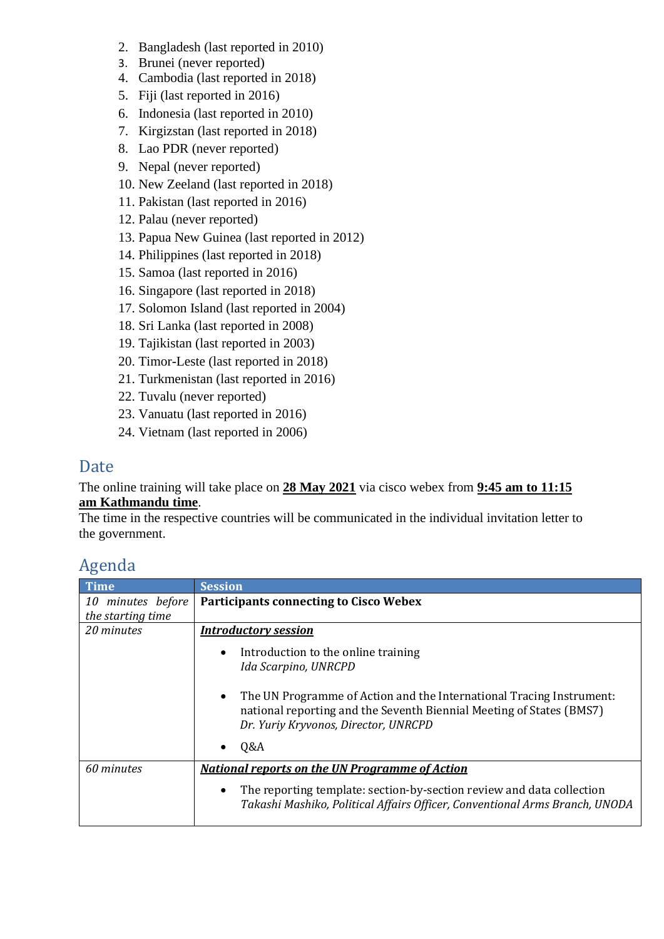- 2. Bangladesh (last reported in 2010)
- 3. Brunei (never reported)
- 4. Cambodia (last reported in 2018)
- 5. Fiji (last reported in 2016)
- 6. Indonesia (last reported in 2010)
- 7. Kirgizstan (last reported in 2018)
- 8. Lao PDR (never reported)
- 9. Nepal (never reported)
- 10. New Zeeland (last reported in 2018)
- 11. Pakistan (last reported in 2016)
- 12. Palau (never reported)
- 13. Papua New Guinea (last reported in 2012)
- 14. Philippines (last reported in 2018)
- 15. Samoa (last reported in 2016)
- 16. Singapore (last reported in 2018)
- 17. Solomon Island (last reported in 2004)
- 18. Sri Lanka (last reported in 2008)
- 19. Tajikistan (last reported in 2003)
- 20. Timor-Leste (last reported in 2018)
- 21. Turkmenistan (last reported in 2016)
- 22. Tuvalu (never reported)
- 23. Vanuatu (last reported in 2016)
- 24. Vietnam (last reported in 2006)

### Date

#### The online training will take place on **28 May 2021** via cisco webex from **9:45 am to 11:15 am Kathmandu time**.

The time in the respective countries will be communicated in the individual invitation letter to the government.

# Agenda

| <b>Time</b>       | <b>Session</b>                                                                                                                                                                                    |
|-------------------|---------------------------------------------------------------------------------------------------------------------------------------------------------------------------------------------------|
| 10 minutes before | <b>Participants connecting to Cisco Webex</b>                                                                                                                                                     |
| the starting time |                                                                                                                                                                                                   |
| 20 minutes        | <b>Introductory session</b>                                                                                                                                                                       |
|                   | Introduction to the online training<br>Ida Scarpino, UNRCPD                                                                                                                                       |
|                   | The UN Programme of Action and the International Tracing Instrument:<br>$\bullet$<br>national reporting and the Seventh Biennial Meeting of States (BMS7)<br>Dr. Yuriy Kryvonos, Director, UNRCPD |
|                   | Q&A                                                                                                                                                                                               |
| 60 minutes        | <b>National reports on the UN Programme of Action</b>                                                                                                                                             |
|                   | The reporting template: section-by-section review and data collection<br>٠<br>Takashi Mashiko, Political Affairs Officer, Conventional Arms Branch, UNODA                                         |